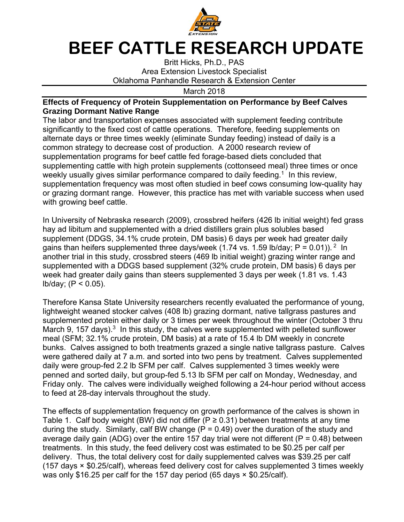

## **BEEF CATTLE RESEARCH UPDATE**

Britt Hicks, Ph.D., PAS Area Extension Livestock Specialist Oklahoma Panhandle Research & Extension Center

March 2018

## **Effects of Frequency of Protein Supplementation on Performance by Beef Calves Grazing Dormant Native Range**

The labor and transportation expenses associated with supplement feeding contribute significantly to the fixed cost of cattle operations. Therefore, feeding supplements on alternate days or three times weekly (eliminate Sunday feeding) instead of daily is a common strategy to decrease cost of production. A 2000 research review of supplementation programs for beef cattle fed forage-based diets concluded that supplementing cattle with high protein supplements (cottonseed meal) three times or once weekly usually gives similar performance compared to daily feeding.<sup>1</sup> In this review, supplementation frequency was most often studied in beef cows consuming low-quality hay or grazing dormant range. However, this practice has met with variable success when used with growing beef cattle.

In University of Nebraska research (2009), crossbred heifers (426 lb initial weight) fed grass hay ad libitum and supplemented with a dried distillers grain plus solubles based supplement (DDGS, 34.1% crude protein, DM basis) 6 days per week had greater daily gains than heifers supplemented three days/week (1.74 vs. 1.59 lb/day;  $P = 0.01$ )). <sup>2</sup> In another trial in this study, crossbred steers (469 lb initial weight) grazing winter range and supplemented with a DDGS based supplement (32% crude protein, DM basis) 6 days per week had greater daily gains than steers supplemented 3 days per week (1.81 vs. 1.43 lb/day; (P < 0.05).

Therefore Kansa State University researchers recently evaluated the performance of young, lightweight weaned stocker calves (408 lb) grazing dormant, native tallgrass pastures and supplemented protein either daily or 3 times per week throughout the winter (October 3 thru March 9, 157 days).<sup>3</sup> In this study, the calves were supplemented with pelleted sunflower meal (SFM; 32.1% crude protein, DM basis) at a rate of 15.4 lb DM weekly in concrete bunks. Calves assigned to both treatments grazed a single native tallgrass pasture. Calves were gathered daily at 7 a.m. and sorted into two pens by treatment. Calves supplemented daily were group-fed 2.2 lb SFM per calf. Calves supplemented 3 times weekly were penned and sorted daily, but group-fed 5.13 lb SFM per calf on Monday, Wednesday, and Friday only. The calves were individually weighed following a 24-hour period without access to feed at 28-day intervals throughout the study.

The effects of supplementation frequency on growth performance of the calves is shown in Table 1. Calf body weight (BW) did not differ ( $P \ge 0.31$ ) between treatments at any time during the study. Similarly, calf BW change ( $\overline{P}$  = 0.49) over the duration of the study and average daily gain (ADG) over the entire 157 day trial were not different ( $P = 0.48$ ) between treatments. In this study, the feed delivery cost was estimated to be \$0.25 per calf per delivery. Thus, the total delivery cost for daily supplemented calves was \$39.25 per calf (157 days × \$0.25/calf), whereas feed delivery cost for calves supplemented 3 times weekly was only \$16.25 per calf for the 157 day period (65 days  $\times$  \$0.25/calf).